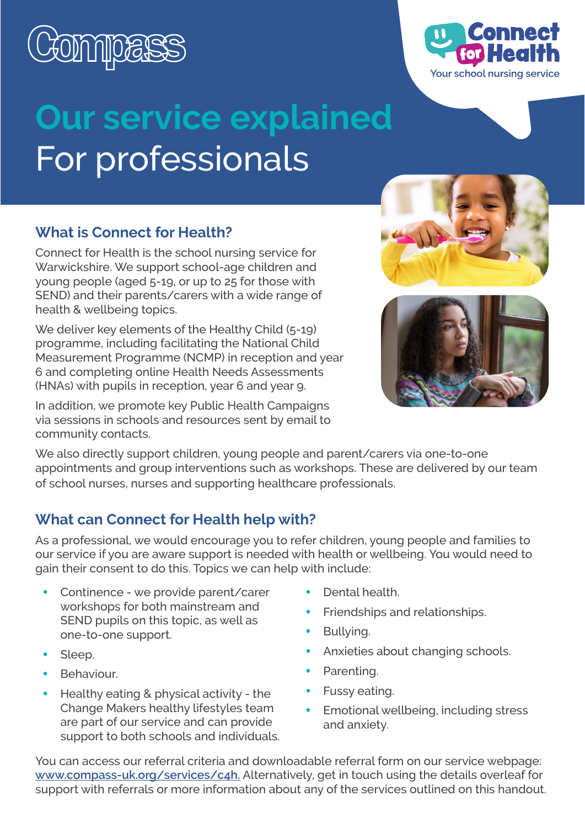

# **Our service explained** For professionals

#### **What is Connect for Health?**

Connect for Health is the school nursing service for Warwickshire. We support school-age children and young people (aged 5-19, or up to 25 for those with SEND) and their parents/carers with a wide range of health & wellbeing topics.

We deliver key elements of the Healthy Child (5-19) programme, including facilitating the National Child Measurement Programme (NCMP) in reception and year 6 and completing online Health Needs Assessments (HNAs) with pupils in reception, year 6 and year 9.

In addition, we promote key Public Health Campaigns via sessions in schools and resources sent by email to community contacts.

We also directly support children, young people and parent/carers via one-to-one appointments and group interventions such as workshops. These are delivered by our team of school nurses, nurses and supporting healthcare professionals.

### **What can Connect for Health help with?**

As a professional, we would encourage you to refer children, young people and families to our service if you are aware support is needed with health or wellbeing. You would need to gain their consent to do this. Topics we can help with include:

- Continence we provide parent/carer workshops for both mainstream and SEND pupils on this topic, as well as one-to-one support.
- Sleep.
- Behaviour.
- Healthy eating & physical activity the Change Makers healthy lifestyles team are part of our service and can provide support to both schools and individuals.
- Dental health.
- Friendships and relationships.
- Bullving.
- Anxieties about changing schools.
- Parenting.
- Fussy eating.
- Emotional wellbeing, including stress and anxiety.

You can access our referral criteria and downloadable referral form on our service webpage: **[www.compass-uk.org/services/c4h.](http://www.compass-uk.org/services/c4h)** Alternatively, get in touch using the details overleaf for support with referrals or more information about any of the services outlined on this handout.